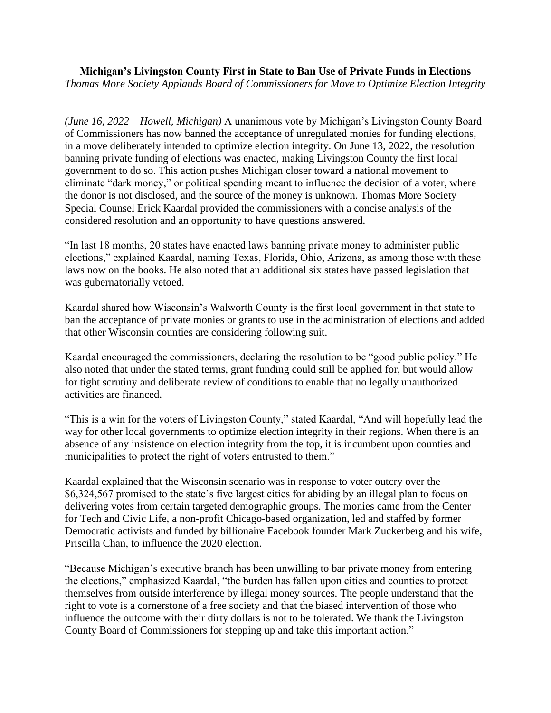**Michigan's Livingston County First in State to Ban Use of Private Funds in Elections** *Thomas More Society Applauds Board of Commissioners for Move to Optimize Election Integrity*

*(June 16, 2022 – Howell, Michigan)* A unanimous vote by Michigan's Livingston County Board of Commissioners has now banned the acceptance of unregulated monies for funding elections, in a move deliberately intended to optimize election integrity. On June 13, 2022, the resolution banning private funding of elections was enacted, making Livingston County the first local government to do so. This action pushes Michigan closer toward a national movement to eliminate "dark money," or political spending meant to influence the decision of a voter, where the donor is not disclosed, and the source of the money is unknown. Thomas More Society Special Counsel Erick Kaardal provided the commissioners with a concise analysis of the considered resolution and an opportunity to have questions answered.

"In last 18 months, 20 states have enacted laws banning private money to administer public elections," explained Kaardal, naming Texas, Florida, Ohio, Arizona, as among those with these laws now on the books. He also noted that an additional six states have passed legislation that was gubernatorially vetoed.

Kaardal shared how Wisconsin's Walworth County is the first local government in that state to ban the acceptance of private monies or grants to use in the administration of elections and added that other Wisconsin counties are considering following suit.

Kaardal encouraged the commissioners, declaring the resolution to be "good public policy." He also noted that under the stated terms, grant funding could still be applied for, but would allow for tight scrutiny and deliberate review of conditions to enable that no legally unauthorized activities are financed.

"This is a win for the voters of Livingston County," stated Kaardal, "And will hopefully lead the way for other local governments to optimize election integrity in their regions. When there is an absence of any insistence on election integrity from the top, it is incumbent upon counties and municipalities to protect the right of voters entrusted to them."

Kaardal explained that the Wisconsin scenario was in response to voter outcry over the \$6,324,567 promised to the state's five largest cities for abiding by an illegal plan to focus on delivering votes from certain targeted demographic groups. The monies came from the Center for Tech and Civic Life, a non-profit Chicago-based organization, led and staffed by former Democratic activists and funded by billionaire Facebook founder Mark Zuckerberg and his wife, Priscilla Chan, to influence the 2020 election.

"Because Michigan's executive branch has been unwilling to bar private money from entering the elections," emphasized Kaardal, "the burden has fallen upon cities and counties to protect themselves from outside interference by illegal money sources. The people understand that the right to vote is a cornerstone of a free society and that the biased intervention of those who influence the outcome with their dirty dollars is not to be tolerated. We thank the Livingston County Board of Commissioners for stepping up and take this important action."